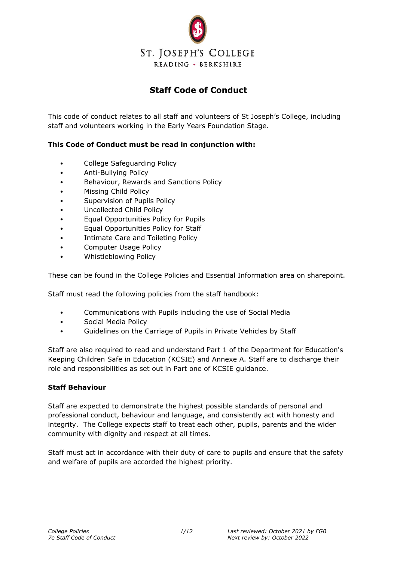

# **Staff Code of Conduct**

This code of conduct relates to all staff and volunteers of St Joseph's College, including staff and volunteers working in the Early Years Foundation Stage.

# **This Code of Conduct must be read in conjunction with:**

- College Safeguarding Policy
- Anti-Bullying Policy
- Behaviour, Rewards and Sanctions Policy
- Missing Child Policy
- Supervision of Pupils Policy
- Uncollected Child Policy
- Equal Opportunities Policy for Pupils
- Equal Opportunities Policy for Staff
- Intimate Care and Toileting Policy
- Computer Usage Policy
- Whistleblowing Policy

These can be found in the College Policies and Essential Information area on sharepoint.

Staff must read the following policies from the staff handbook:

- Communications with Pupils including the use of Social Media
- Social Media Policy
- Guidelines on the Carriage of Pupils in Private Vehicles by Staff

Staff are also required to read and understand Part 1 of the Department for Education's Keeping Children Safe in Education (KCSIE) and Annexe A. Staff are to discharge their role and responsibilities as set out in Part one of KCSIE guidance.

### **Staff Behaviour**

Staff are expected to demonstrate the highest possible standards of personal and professional conduct, behaviour and language, and consistently act with honesty and integrity. The College expects staff to treat each other, pupils, parents and the wider community with dignity and respect at all times.

Staff must act in accordance with their duty of care to pupils and ensure that the safety and welfare of pupils are accorded the highest priority.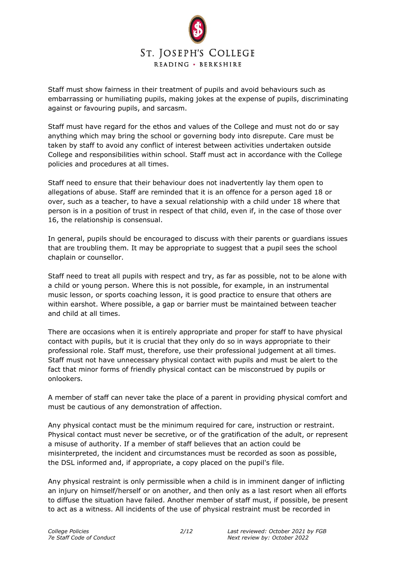

Staff must show fairness in their treatment of pupils and avoid behaviours such as embarrassing or humiliating pupils, making jokes at the expense of pupils, discriminating against or favouring pupils, and sarcasm.

Staff must have regard for the ethos and values of the College and must not do or say anything which may bring the school or governing body into disrepute. Care must be taken by staff to avoid any conflict of interest between activities undertaken outside College and responsibilities within school. Staff must act in accordance with the College policies and procedures at all times.

Staff need to ensure that their behaviour does not inadvertently lay them open to allegations of abuse. Staff are reminded that it is an offence for a person aged 18 or over, such as a teacher, to have a sexual relationship with a child under 18 where that person is in a position of trust in respect of that child, even if, in the case of those over 16, the relationship is consensual.

In general, pupils should be encouraged to discuss with their parents or guardians issues that are troubling them. It may be appropriate to suggest that a pupil sees the school chaplain or counsellor.

Staff need to treat all pupils with respect and try, as far as possible, not to be alone with a child or young person. Where this is not possible, for example, in an instrumental music lesson, or sports coaching lesson, it is good practice to ensure that others are within earshot. Where possible, a gap or barrier must be maintained between teacher and child at all times.

There are occasions when it is entirely appropriate and proper for staff to have physical contact with pupils, but it is crucial that they only do so in ways appropriate to their professional role. Staff must, therefore, use their professional judgement at all times. Staff must not have unnecessary physical contact with pupils and must be alert to the fact that minor forms of friendly physical contact can be misconstrued by pupils or onlookers.

A member of staff can never take the place of a parent in providing physical comfort and must be cautious of any demonstration of affection.

Any physical contact must be the minimum required for care, instruction or restraint. Physical contact must never be secretive, or of the gratification of the adult, or represent a misuse of authority. If a member of staff believes that an action could be misinterpreted, the incident and circumstances must be recorded as soon as possible, the DSL informed and, if appropriate, a copy placed on the pupil's file.

Any physical restraint is only permissible when a child is in imminent danger of inflicting an injury on himself/herself or on another, and then only as a last resort when all efforts to diffuse the situation have failed. Another member of staff must, if possible, be present to act as a witness. All incidents of the use of physical restraint must be recorded in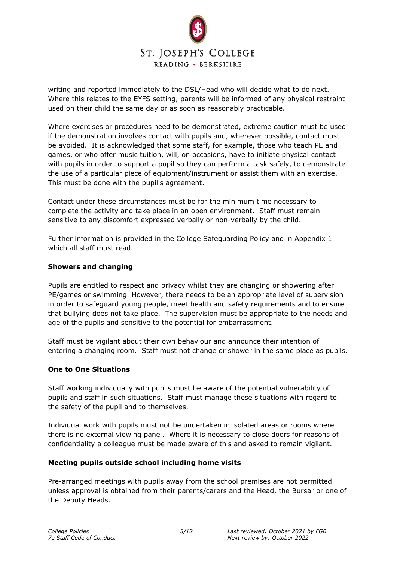

writing and reported immediately to the DSL/Head who will decide what to do next. Where this relates to the EYFS setting, parents will be informed of any physical restraint used on their child the same day or as soon as reasonably practicable.

Where exercises or procedures need to be demonstrated, extreme caution must be used if the demonstration involves contact with pupils and, wherever possible, contact must be avoided. It is acknowledged that some staff, for example, those who teach PE and games, or who offer music tuition, will, on occasions, have to initiate physical contact with pupils in order to support a pupil so they can perform a task safely, to demonstrate the use of a particular piece of equipment/instrument or assist them with an exercise. This must be done with the pupil's agreement.

Contact under these circumstances must be for the minimum time necessary to complete the activity and take place in an open environment. Staff must remain sensitive to any discomfort expressed verbally or non-verbally by the child.

Further information is provided in the College Safeguarding Policy and in Appendix 1 which all staff must read.

#### **Showers and changing**

Pupils are entitled to respect and privacy whilst they are changing or showering after PE/games or swimming. However, there needs to be an appropriate level of supervision in order to safeguard young people, meet health and safety requirements and to ensure that bullying does not take place. The supervision must be appropriate to the needs and age of the pupils and sensitive to the potential for embarrassment.

Staff must be vigilant about their own behaviour and announce their intention of entering a changing room. Staff must not change or shower in the same place as pupils.

### **One to One Situations**

Staff working individually with pupils must be aware of the potential vulnerability of pupils and staff in such situations. Staff must manage these situations with regard to the safety of the pupil and to themselves.

Individual work with pupils must not be undertaken in isolated areas or rooms where there is no external viewing panel. Where it is necessary to close doors for reasons of confidentiality a colleague must be made aware of this and asked to remain vigilant.

#### **Meeting pupils outside school including home visits**

Pre-arranged meetings with pupils away from the school premises are not permitted unless approval is obtained from their parents/carers and the Head, the Bursar or one of the Deputy Heads.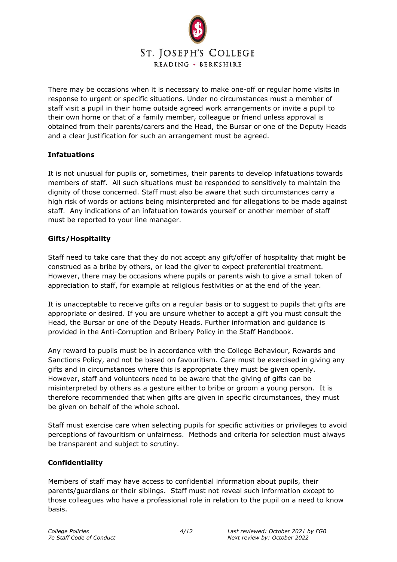

There may be occasions when it is necessary to make one-off or regular home visits in response to urgent or specific situations. Under no circumstances must a member of staff visit a pupil in their home outside agreed work arrangements or invite a pupil to their own home or that of a family member, colleague or friend unless approval is obtained from their parents/carers and the Head, the Bursar or one of the Deputy Heads and a clear justification for such an arrangement must be agreed.

### **Infatuations**

It is not unusual for pupils or, sometimes, their parents to develop infatuations towards members of staff. All such situations must be responded to sensitively to maintain the dignity of those concerned. Staff must also be aware that such circumstances carry a high risk of words or actions being misinterpreted and for allegations to be made against staff. Any indications of an infatuation towards yourself or another member of staff must be reported to your line manager.

### **Gifts/Hospitality**

Staff need to take care that they do not accept any gift/offer of hospitality that might be construed as a bribe by others, or lead the giver to expect preferential treatment. However, there may be occasions where pupils or parents wish to give a small token of appreciation to staff, for example at religious festivities or at the end of the year.

It is unacceptable to receive gifts on a regular basis or to suggest to pupils that gifts are appropriate or desired. If you are unsure whether to accept a gift you must consult the Head, the Bursar or one of the Deputy Heads. Further information and guidance is provided in the Anti-Corruption and Bribery Policy in the Staff Handbook.

Any reward to pupils must be in accordance with the College Behaviour, Rewards and Sanctions Policy, and not be based on favouritism. Care must be exercised in giving any gifts and in circumstances where this is appropriate they must be given openly. However, staff and volunteers need to be aware that the giving of gifts can be misinterpreted by others as a gesture either to bribe or groom a young person. It is therefore recommended that when gifts are given in specific circumstances, they must be given on behalf of the whole school.

Staff must exercise care when selecting pupils for specific activities or privileges to avoid perceptions of favouritism or unfairness. Methods and criteria for selection must always be transparent and subject to scrutiny.

# **Confidentiality**

Members of staff may have access to confidential information about pupils, their parents/guardians or their siblings. Staff must not reveal such information except to those colleagues who have a professional role in relation to the pupil on a need to know basis.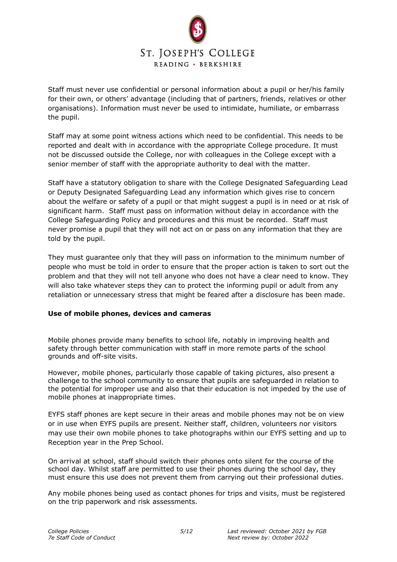

Staff must never use confidential or personal information about a pupil or her/his family for their own, or others' advantage (including that of partners, friends, relatives or other organisations). Information must never be used to intimidate, humiliate, or embarrass the pupil.

Staff may at some point witness actions which need to be confidential. This needs to be reported and dealt with in accordance with the appropriate College procedure. It must not be discussed outside the College, nor with colleagues in the College except with a senior member of staff with the appropriate authority to deal with the matter.

Staff have a statutory obligation to share with the College Designated Safeguarding Lead or Deputy Designated Safeguarding Lead any information which gives rise to concern about the welfare or safety of a pupil or that might suggest a pupil is in need or at risk of significant harm. Staff must pass on information without delay in accordance with the College Safeguarding Policy and procedures and this must be recorded. Staff must never promise a pupil that they will not act on or pass on any information that they are told by the pupil.

They must guarantee only that they will pass on information to the minimum number of people who must be told in order to ensure that the proper action is taken to sort out the problem and that they will not tell anyone who does not have a clear need to know. They will also take whatever steps they can to protect the informing pupil or adult from any retaliation or unnecessary stress that might be feared after a disclosure has been made.

### **Use of mobile phones, devices and cameras**

Mobile phones provide many benefits to school life, notably in improving health and safety through better communication with staff in more remote parts of the school grounds and off-site visits.

However, mobile phones, particularly those capable of taking pictures, also present a challenge to the school community to ensure that pupils are safeguarded in relation to the potential for improper use and also that their education is not impeded by the use of mobile phones at inappropriate times.

EYFS staff phones are kept secure in their areas and mobile phones may not be on view or in use when EYFS pupils are present. Neither staff, children, volunteers nor visitors may use their own mobile phones to take photographs within our EYFS setting and up to Reception year in the Prep School.

On arrival at school, staff should switch their phones onto silent for the course of the school day. Whilst staff are permitted to use their phones during the school day, they must ensure this use does not prevent them from carrying out their professional duties.

Any mobile phones being used as contact phones for trips and visits, must be registered on the trip paperwork and risk assessments.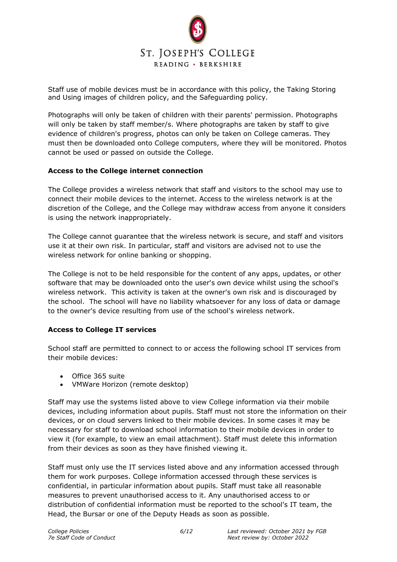

Staff use of mobile devices must be in accordance with this policy, the Taking Storing and Using images of children policy, and the Safeguarding policy.

Photographs will only be taken of children with their parents' permission. Photographs will only be taken by staff member/s. Where photographs are taken by staff to give evidence of children's progress, photos can only be taken on College cameras. They must then be downloaded onto College computers, where they will be monitored. Photos cannot be used or passed on outside the College.

#### **Access to the College internet connection**

The College provides a wireless network that staff and visitors to the school may use to connect their mobile devices to the internet. Access to the wireless network is at the discretion of the College, and the College may withdraw access from anyone it considers is using the network inappropriately.

The College cannot guarantee that the wireless network is secure, and staff and visitors use it at their own risk. In particular, staff and visitors are advised not to use the wireless network for online banking or shopping.

The College is not to be held responsible for the content of any apps, updates, or other software that may be downloaded onto the user's own device whilst using the school's wireless network. This activity is taken at the owner's own risk and is discouraged by the school. The school will have no liability whatsoever for any loss of data or damage to the owner's device resulting from use of the school's wireless network.

### **Access to College IT services**

School staff are permitted to connect to or access the following school IT services from their mobile devices:

- Office 365 suite
- VMWare Horizon (remote desktop)

Staff may use the systems listed above to view College information via their mobile devices, including information about pupils. Staff must not store the information on their devices, or on cloud servers linked to their mobile devices. In some cases it may be necessary for staff to download school information to their mobile devices in order to view it (for example, to view an email attachment). Staff must delete this information from their devices as soon as they have finished viewing it.

Staff must only use the IT services listed above and any information accessed through them for work purposes. College information accessed through these services is confidential, in particular information about pupils. Staff must take all reasonable measures to prevent unauthorised access to it. Any unauthorised access to or distribution of confidential information must be reported to the school's IT team, the Head, the Bursar or one of the Deputy Heads as soon as possible.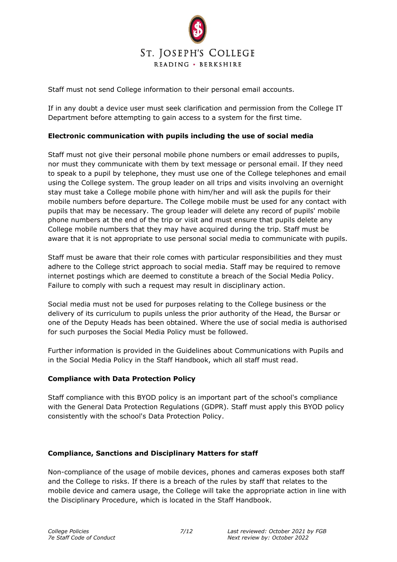

Staff must not send College information to their personal email accounts.

If in any doubt a device user must seek clarification and permission from the College IT Department before attempting to gain access to a system for the first time.

## **Electronic communication with pupils including the use of social media**

Staff must not give their personal mobile phone numbers or email addresses to pupils, nor must they communicate with them by text message or personal email. If they need to speak to a pupil by telephone, they must use one of the College telephones and email using the College system. The group leader on all trips and visits involving an overnight stay must take a College mobile phone with him/her and will ask the pupils for their mobile numbers before departure. The College mobile must be used for any contact with pupils that may be necessary. The group leader will delete any record of pupils' mobile phone numbers at the end of the trip or visit and must ensure that pupils delete any College mobile numbers that they may have acquired during the trip. Staff must be aware that it is not appropriate to use personal social media to communicate with pupils.

Staff must be aware that their role comes with particular responsibilities and they must adhere to the College strict approach to social media. Staff may be required to remove internet postings which are deemed to constitute a breach of the Social Media Policy. Failure to comply with such a request may result in disciplinary action.

Social media must not be used for purposes relating to the College business or the delivery of its curriculum to pupils unless the prior authority of the Head, the Bursar or one of the Deputy Heads has been obtained. Where the use of social media is authorised for such purposes the Social Media Policy must be followed.

Further information is provided in the Guidelines about Communications with Pupils and in the Social Media Policy in the Staff Handbook, which all staff must read.

### **Compliance with Data Protection Policy**

Staff compliance with this BYOD policy is an important part of the school's compliance with the General Data Protection Regulations (GDPR). Staff must apply this BYOD policy consistently with the school's Data Protection Policy.

### **Compliance, Sanctions and Disciplinary Matters for staff**

Non-compliance of the usage of mobile devices, phones and cameras exposes both staff and the College to risks. If there is a breach of the rules by staff that relates to the mobile device and camera usage, the College will take the appropriate action in line with the Disciplinary Procedure, which is located in the Staff Handbook.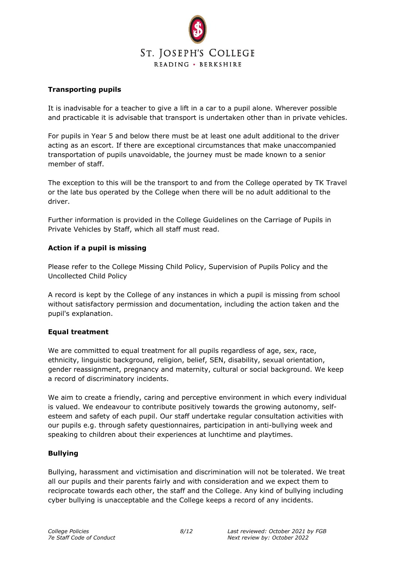

### **Transporting pupils**

It is inadvisable for a teacher to give a lift in a car to a pupil alone. Wherever possible and practicable it is advisable that transport is undertaken other than in private vehicles.

For pupils in Year 5 and below there must be at least one adult additional to the driver acting as an escort. If there are exceptional circumstances that make unaccompanied transportation of pupils unavoidable, the journey must be made known to a senior member of staff.

The exception to this will be the transport to and from the College operated by TK Travel or the late bus operated by the College when there will be no adult additional to the driver.

Further information is provided in the College Guidelines on the Carriage of Pupils in Private Vehicles by Staff, which all staff must read.

### **Action if a pupil is missing**

Please refer to the College Missing Child Policy, Supervision of Pupils Policy and the Uncollected Child Policy

A record is kept by the College of any instances in which a pupil is missing from school without satisfactory permission and documentation, including the action taken and the pupil's explanation.

### **Equal treatment**

We are committed to equal treatment for all pupils regardless of age, sex, race, ethnicity, linguistic background, religion, belief, SEN, disability, sexual orientation, gender reassignment, pregnancy and maternity, cultural or social background. We keep a record of discriminatory incidents.

We aim to create a friendly, caring and perceptive environment in which every individual is valued. We endeavour to contribute positively towards the growing autonomy, selfesteem and safety of each pupil. Our staff undertake regular consultation activities with our pupils e.g. through safety questionnaires, participation in anti-bullying week and speaking to children about their experiences at lunchtime and playtimes.

### **Bullying**

Bullying, harassment and victimisation and discrimination will not be tolerated. We treat all our pupils and their parents fairly and with consideration and we expect them to reciprocate towards each other, the staff and the College. Any kind of bullying including cyber bullying is unacceptable and the College keeps a record of any incidents.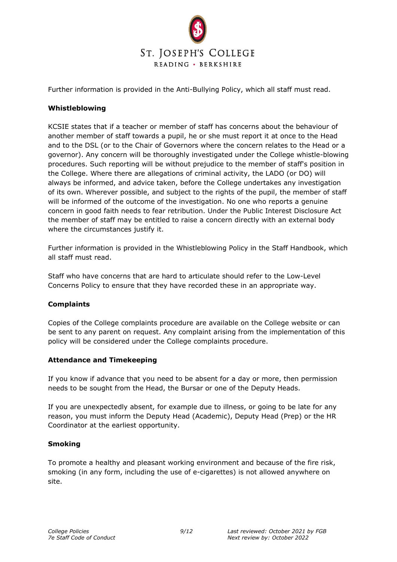

Further information is provided in the Anti-Bullying Policy, which all staff must read.

#### **Whistleblowing**

KCSIE states that if a teacher or member of staff has concerns about the behaviour of another member of staff towards a pupil, he or she must report it at once to the Head and to the DSL (or to the Chair of Governors where the concern relates to the Head or a governor). Any concern will be thoroughly investigated under the College whistle-blowing procedures. Such reporting will be without prejudice to the member of staff's position in the College. Where there are allegations of criminal activity, the LADO (or DO) will always be informed, and advice taken, before the College undertakes any investigation of its own. Wherever possible, and subject to the rights of the pupil, the member of staff will be informed of the outcome of the investigation. No one who reports a genuine concern in good faith needs to fear retribution. Under the Public Interest Disclosure Act the member of staff may be entitled to raise a concern directly with an external body where the circumstances justify it.

Further information is provided in the Whistleblowing Policy in the Staff Handbook, which all staff must read.

Staff who have concerns that are hard to articulate should refer to the Low-Level Concerns Policy to ensure that they have recorded these in an appropriate way.

### **Complaints**

Copies of the College complaints procedure are available on the College website or can be sent to any parent on request. Any complaint arising from the implementation of this policy will be considered under the College complaints procedure.

#### **Attendance and Timekeeping**

If you know if advance that you need to be absent for a day or more, then permission needs to be sought from the Head, the Bursar or one of the Deputy Heads.

If you are unexpectedly absent, for example due to illness, or going to be late for any reason, you must inform the Deputy Head (Academic), Deputy Head (Prep) or the HR Coordinator at the earliest opportunity.

#### **Smoking**

To promote a healthy and pleasant working environment and because of the fire risk, smoking (in any form, including the use of e-cigarettes) is not allowed anywhere on site.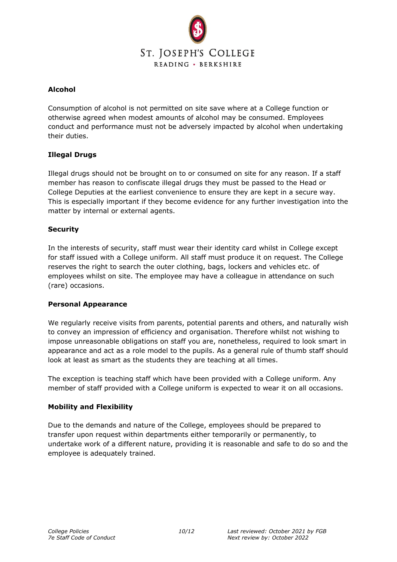

### **Alcohol**

Consumption of alcohol is not permitted on site save where at a College function or otherwise agreed when modest amounts of alcohol may be consumed. Employees conduct and performance must not be adversely impacted by alcohol when undertaking their duties.

# **Illegal Drugs**

Illegal drugs should not be brought on to or consumed on site for any reason. If a staff member has reason to confiscate illegal drugs they must be passed to the Head or College Deputies at the earliest convenience to ensure they are kept in a secure way. This is especially important if they become evidence for any further investigation into the matter by internal or external agents.

### **Security**

In the interests of security, staff must wear their identity card whilst in College except for staff issued with a College uniform. All staff must produce it on request. The College reserves the right to search the outer clothing, bags, lockers and vehicles etc. of employees whilst on site. The employee may have a colleague in attendance on such (rare) occasions.

### **Personal Appearance**

We regularly receive visits from parents, potential parents and others, and naturally wish to convey an impression of efficiency and organisation. Therefore whilst not wishing to impose unreasonable obligations on staff you are, nonetheless, required to look smart in appearance and act as a role model to the pupils. As a general rule of thumb staff should look at least as smart as the students they are teaching at all times.

The exception is teaching staff which have been provided with a College uniform. Any member of staff provided with a College uniform is expected to wear it on all occasions.

### **Mobility and Flexibility**

Due to the demands and nature of the College, employees should be prepared to transfer upon request within departments either temporarily or permanently, to undertake work of a different nature, providing it is reasonable and safe to do so and the employee is adequately trained.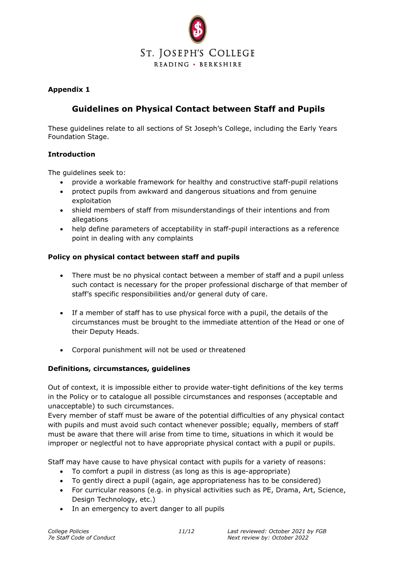

# **Appendix 1**

# **Guidelines on Physical Contact between Staff and Pupils**

These guidelines relate to all sections of St Joseph's College, including the Early Years Foundation Stage.

### **Introduction**

The quidelines seek to:

- provide a workable framework for healthy and constructive staff-pupil relations
- protect pupils from awkward and dangerous situations and from genuine exploitation
- shield members of staff from misunderstandings of their intentions and from allegations
- help define parameters of acceptability in staff-pupil interactions as a reference point in dealing with any complaints

### **Policy on physical contact between staff and pupils**

- There must be no physical contact between a member of staff and a pupil unless such contact is necessary for the proper professional discharge of that member of staff's specific responsibilities and/or general duty of care.
- If a member of staff has to use physical force with a pupil, the details of the circumstances must be brought to the immediate attention of the Head or one of their Deputy Heads.
- Corporal punishment will not be used or threatened

### **Definitions, circumstances, guidelines**

Out of context, it is impossible either to provide water-tight definitions of the key terms in the Policy or to catalogue all possible circumstances and responses (acceptable and unacceptable) to such circumstances.

Every member of staff must be aware of the potential difficulties of any physical contact with pupils and must avoid such contact whenever possible; equally, members of staff must be aware that there will arise from time to time, situations in which it would be improper or neglectful not to have appropriate physical contact with a pupil or pupils.

Staff may have cause to have physical contact with pupils for a variety of reasons:

- To comfort a pupil in distress (as long as this is age-appropriate)
- To gently direct a pupil (again, age appropriateness has to be considered)
- For curricular reasons (e.g. in physical activities such as PE, Drama, Art, Science, Design Technology, etc.)
- In an emergency to avert danger to all pupils